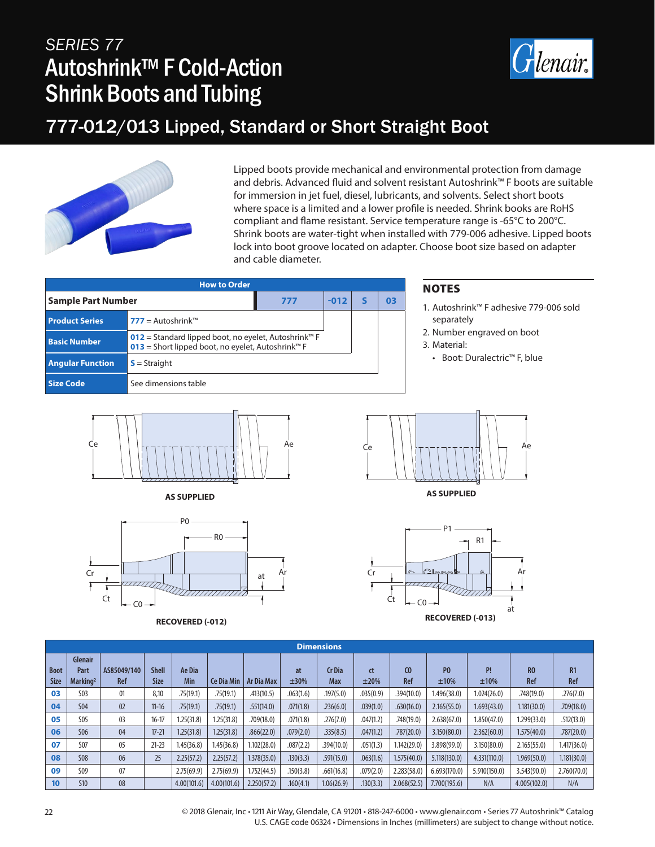## *SERIES 77* Autoshrink™ F Cold-Action Shrink Boots and Tubing



#### 777-012/013 Lipped, Standard or Short Straight Boot



Lipped boots provide mechanical and environmental protection from damage and debris. Advanced fluid and solvent resistant Autoshrink™ F boots are suitable for immersion in jet fuel, diesel, lubricants, and solvents. Select short boots where space is a limited and a lower profile is needed. Shrink books are RoHS compliant and flame resistant. Service temperature range is -65°C to 200°C. Shrink boots are water-tight when installed with 779-006 adhesive. Lipped boots lock into boot groove located on adapter. Choose boot size based on adapter and cable diameter.

| <b>How to Order</b>       |                                                                                                                                   |     |        |  |    |  |  |  |  |  |  |
|---------------------------|-----------------------------------------------------------------------------------------------------------------------------------|-----|--------|--|----|--|--|--|--|--|--|
| <b>Sample Part Number</b> |                                                                                                                                   | 777 | $-012$ |  | 03 |  |  |  |  |  |  |
| <b>Product Series</b>     | $777 =$ Autoshrink <sup>TM</sup>                                                                                                  |     |        |  |    |  |  |  |  |  |  |
| <b>Basic Number</b>       | 012 = Standard lipped boot, no eyelet, Autoshrink <sup>™</sup> F<br>013 = Short lipped boot, no eyelet, Autoshrink <sup>™</sup> F |     |        |  |    |  |  |  |  |  |  |
| <b>Angular Function</b>   | $S =$ Straight                                                                                                                    |     |        |  |    |  |  |  |  |  |  |
| <b>Size Code</b>          | See dimensions table                                                                                                              |     |        |  |    |  |  |  |  |  |  |









#### **NOTES**

- 1. Autoshrink™ F adhesive 779-006 sold separately
- 2. Number engraved on boot
- 3. Material:
	- Boot: Duralectric™ F, blue



**AS SUPPLIED**



|                            | <b>Dimensions</b>                              |                    |                      |                      |                   |                   |            |                      |            |             |                        |              |                       |             |
|----------------------------|------------------------------------------------|--------------------|----------------------|----------------------|-------------------|-------------------|------------|----------------------|------------|-------------|------------------------|--------------|-----------------------|-------------|
| <b>Boot</b><br><b>Size</b> | <b>Glenair</b><br>Part<br>Marking <sup>2</sup> | AS85049/140<br>Ref | <b>Shell</b><br>Size | Ae Dia<br><b>Min</b> | <b>Ce Dia Min</b> | <b>Ar Dia Max</b> | at<br>±30% | <b>Cr</b> Dia<br>Max | ct<br>±20% | CO<br>Ref   | P <sub>0</sub><br>±10% | P!<br>±10%   | R <sub>0</sub><br>Ref | R1<br>Ref   |
| 03                         | S <sub>03</sub>                                | 01                 | 8.10                 | .75(19.1)            | .75(19.1)         | .413(10.5)        | .063(1.6)  | .197(5.0)            | .035(0.9)  | .394(10.0)  | 1.496(38.0)            | 1.024(26.0)  | .748(19.0)            | .276(7.0)   |
| 04                         | <b>S04</b>                                     | 02                 | $11 - 16$            | .75(19.1)            | .75(19.1)         | .551(14.0)        | .071(1.8)  | .236(6.0)            | .039(1.0)  | .630(16.0)  | 2.165(55.0)            | 1.693(43.0)  | 1.181(30.0)           | .709(18.0)  |
| 05                         | <b>S05</b>                                     | 0 <sup>3</sup>     | $16 - 17$            | 1.25(31.8)           | 1.25(31.8)        | .709(18.0)        | .071(1.8)  | .276(7.0)            | .047(1.2)  | .748(19.0)  | 2.638(67.0)            | 1.850(47.0)  | 1.299(33.0)           | .512(13.0)  |
| 06                         | <b>SO6</b>                                     | 04                 | $17 - 21$            | 1.25(31.8)           | 1.25(31.8)        | .866(22.0)        | .079(2.0)  | .335(8.5)            | .047(1.2)  | .787(20.0)  | 3.150(80.0)            | 2.362(60.0)  | 1.575(40.0)           | .787(20.0)  |
| 07                         | <b>S07</b>                                     | 05                 | $21 - 23$            | 1.45(36.8)           | 1.45(36.8)        | 1.102(28.0)       | .087(2.2)  | .394(10.0)           | .051(1.3)  | 1.142(29.0) | 3.898(99.0)            | 3.150(80.0)  | 2.165(55.0)           | 1.417(36.0) |
| 08                         | <b>S08</b>                                     | 06                 | 25                   | 2.25(57.2)           | 2.25(57.2)        | 1.378(35.0)       | .130(3.3)  | .591(15.0)           | .063(1.6)  | 1.575(40.0) | 5.118(130.0)           | 4.331(110.0) | 1.969(50.0)           | 1.181(30.0) |
| 09                         | S <sub>09</sub>                                | 07                 |                      | 2.75(69.9)           | 2.75(69.9)        | 1.752(44.5)       | .150(3.8)  | .661(16.8)           | .079(2.0)  | 2.283(58.0) | 6.693(170.0)           | 5.910(150.0) | 3.543(90.0)           | 2.760(70.0) |
| 10 <sup>°</sup>            | <b>S10</b>                                     | 08                 |                      | 4.00(101.6)          | 4.00(101.6)       | 2.250(57.2)       | .160(4.1)  | 1.06(26.9)           | .130(3.3)  | 2.068(52.5) | 7.700(195.6)           | N/A          | 4.005(102.0)          | N/A         |

22 © 2018 Glenair, Inc • 1211 Air Way, Glendale, CA 91201 • 818-247-6000 • www.glenair.com • Series 77 Autoshrink™ Catalog U.S. CAGE code 06324 • Dimensions in Inches (millimeters) are subject to change without notice.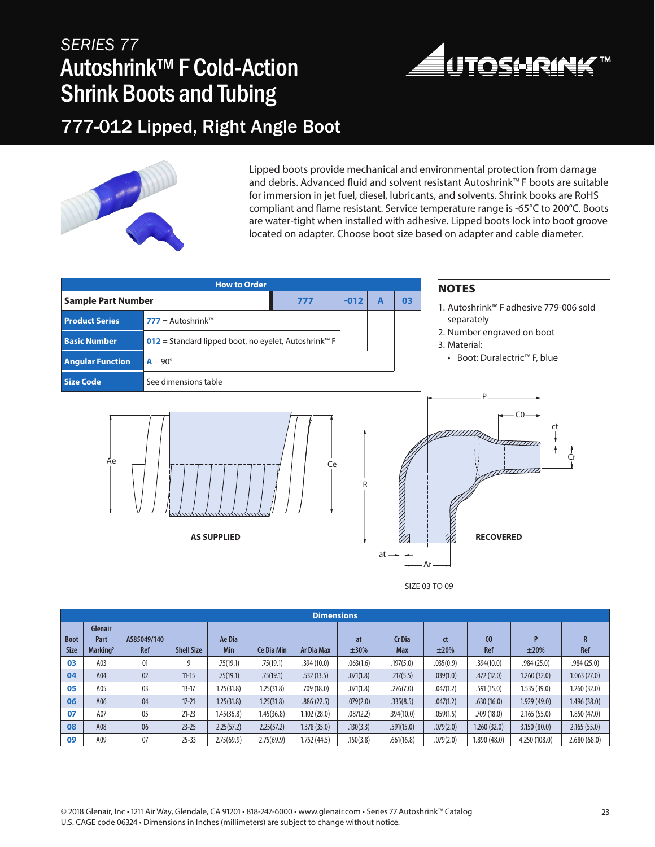## *SERIES 77* Autoshrink™ F Cold-Action Shrink Boots and Tubing



#### 777-012 Lipped, Right Angle Boot



Lipped boots provide mechanical and environmental protection from damage and debris. Advanced fluid and solvent resistant Autoshrink™ F boots are suitable for immersion in jet fuel, diesel, lubricants, and solvents. Shrink books are RoHS compliant and flame resistant. Service temperature range is -65°C to 200°C. Boots are water-tight when installed with adhesive. Lipped boots lock into boot groove located on adapter. Choose boot size based on adapter and cable diameter.

|                           | <b>How to Order</b>                                  | <b>NOTES</b> |        |                |                                                       |                                            |
|---------------------------|------------------------------------------------------|--------------|--------|----------------|-------------------------------------------------------|--------------------------------------------|
| <b>Sample Part Number</b> |                                                      | 777          | $-012$ | $\overline{A}$ | 03                                                    | 1. Autoshrink™ F adhesive 779-006 sold     |
| <b>Product Series</b>     | 777 = Autoshrink™                                    |              |        |                |                                                       | separately                                 |
| <b>Basic Number</b>       | 012 = Standard lipped boot, no eyelet, Autoshrink™ F |              |        |                |                                                       | 2. Number engraved on boot<br>3. Material: |
| <b>Angular Function</b>   | $A = 90^\circ$                                       |              |        |                |                                                       | • Boot: Duralectric™ F, blue               |
| <b>Size Code</b>          | See dimensions table                                 |              |        |                |                                                       |                                            |
| Äe                        | <b>AS SUPPLIED</b>                                   |              | $at -$ |                | $\cap$<br>ct<br>22211111111<br><b>RECOVERED</b><br>Ar |                                            |

SIZE 03 TO 09

|                            | <b>Dimensions</b>                              |                           |                   |               |                   |                   |            |                             |            |                              |               |              |
|----------------------------|------------------------------------------------|---------------------------|-------------------|---------------|-------------------|-------------------|------------|-----------------------------|------------|------------------------------|---------------|--------------|
| <b>Boot</b><br><b>Size</b> | <b>Glenair</b><br>Part<br>Marking <sup>2</sup> | AS85049/140<br><b>Ref</b> | <b>Shell Size</b> | Ae Dia<br>Min | <b>Ce Dia Min</b> | <b>Ar Dia Max</b> | at<br>±30% | <b>Cr</b> Dia<br><b>Max</b> | ct<br>±20% | C <sub>0</sub><br><b>Ref</b> | D<br>±20%     | R<br>Ref     |
| 03                         | A03                                            | 01                        | 9                 | .75(19.1)     | .75(19.1)         | .394(10.0)        | .063(1.6)  | .197(5.0)                   | .035(0.9)  | .394(10.0)                   | .984(25.0)    | .984(25.0)   |
| 04                         | A04                                            | 02                        | $11 - 15$         | .75(19.1)     | .75(19.1)         | .532(13.5)        | .071(1.8)  | .217(5.5)                   | .039(1.0)  | .472(12.0)                   | 1.260(32.0)   | 1.063(27.0)  |
| 05                         | A05                                            | 03                        | $13 - 17$         | 1.25(31.8)    | 1.25(31.8)        | .709(18.0)        | .071(1.8)  | .276(7.0)                   | .047(1.2)  | .591(15.0)                   | 1.535(39.0)   | 1.260 (32.0) |
| 06                         | A06                                            | 04                        | $17 - 21$         | 1.25(31.8)    | 1.25(31.8)        | .886(22.5)        | .079(2.0)  | .335(8.5)                   | .047(1.2)  | .630(16.0)                   | 1.929(49.0)   | 1.496 (38.0) |
| 07                         | A07                                            | 05                        | $21 - 23$         | 1.45(36.8)    | 1.45(36.8)        | 1.102(28.0)       | .087(2.2)  | .394(10.0)                  | .059(1.5)  | .709 (18.0)                  | 2.165(55.0)   | 1.850 (47.0) |
| 08                         | A08                                            | 06                        | $23 - 25$         | 2.25(57.2)    | 2.25(57.2)        | 1.378(35.0)       | .130(3.3)  | .591(15.0)                  | .079(2.0)  | 1.260(32.0)                  | 3.150(80.0)   | 2.165(55.0)  |
| 09                         | A09                                            | 07                        | $25 - 33$         | 2.75(69.9)    | 2.75(69.9)        | 1.752(44.5)       | .150(3.8)  | .661(16.8)                  | .079(2.0)  | 1.890(48.0)                  | 4.250 (108.0) | 2.680(68.0)  |